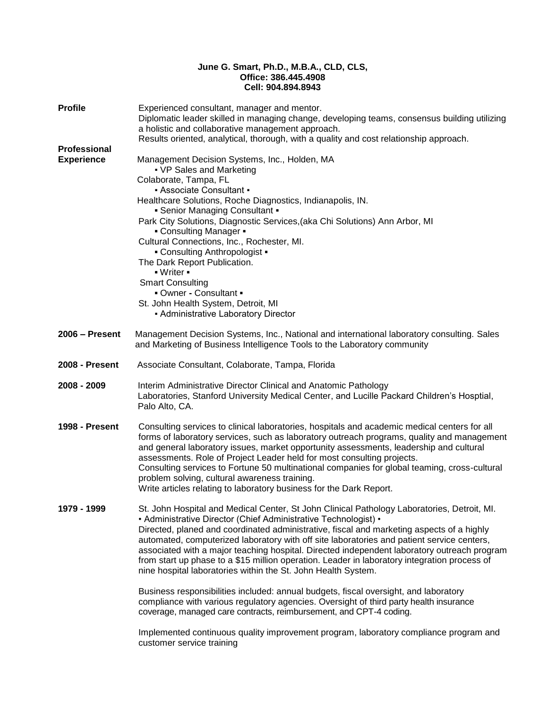## **June G. Smart, Ph.D., M.B.A., CLD, CLS, Office: 386.445.4908 Cell: 904.894.8943**

| <b>Profile</b>        | Experienced consultant, manager and mentor.<br>Diplomatic leader skilled in managing change, developing teams, consensus building utilizing<br>a holistic and collaborative management approach.<br>Results oriented, analytical, thorough, with a quality and cost relationship approach.                                                                                                                                                                                                                                                                                                                                                                                                                                                                                                                                                                                        |
|-----------------------|-----------------------------------------------------------------------------------------------------------------------------------------------------------------------------------------------------------------------------------------------------------------------------------------------------------------------------------------------------------------------------------------------------------------------------------------------------------------------------------------------------------------------------------------------------------------------------------------------------------------------------------------------------------------------------------------------------------------------------------------------------------------------------------------------------------------------------------------------------------------------------------|
| Professional          |                                                                                                                                                                                                                                                                                                                                                                                                                                                                                                                                                                                                                                                                                                                                                                                                                                                                                   |
| <b>Experience</b>     | Management Decision Systems, Inc., Holden, MA<br>• VP Sales and Marketing<br>Colaborate, Tampa, FL<br>- Associate Consultant -<br>Healthcare Solutions, Roche Diagnostics, Indianapolis, IN.<br>- Senior Managing Consultant -<br>Park City Solutions, Diagnostic Services, (aka Chi Solutions) Ann Arbor, MI<br>- Consulting Manager -<br>Cultural Connections, Inc., Rochester, MI.<br>- Consulting Anthropologist -<br>The Dark Report Publication.<br>$\blacksquare$ Writer $\blacksquare$<br><b>Smart Consulting</b><br>- Owner - Consultant -<br>St. John Health System, Detroit, MI<br>- Administrative Laboratory Director                                                                                                                                                                                                                                                |
|                       |                                                                                                                                                                                                                                                                                                                                                                                                                                                                                                                                                                                                                                                                                                                                                                                                                                                                                   |
| $2006 -$ Present      | Management Decision Systems, Inc., National and international laboratory consulting. Sales<br>and Marketing of Business Intelligence Tools to the Laboratory community                                                                                                                                                                                                                                                                                                                                                                                                                                                                                                                                                                                                                                                                                                            |
| <b>2008 - Present</b> | Associate Consultant, Colaborate, Tampa, Florida                                                                                                                                                                                                                                                                                                                                                                                                                                                                                                                                                                                                                                                                                                                                                                                                                                  |
| 2008 - 2009           | Interim Administrative Director Clinical and Anatomic Pathology<br>Laboratories, Stanford University Medical Center, and Lucille Packard Children's Hosptial,<br>Palo Alto, CA.                                                                                                                                                                                                                                                                                                                                                                                                                                                                                                                                                                                                                                                                                                   |
| 1998 - Present        | Consulting services to clinical laboratories, hospitals and academic medical centers for all<br>forms of laboratory services, such as laboratory outreach programs, quality and management<br>and general laboratory issues, market opportunity assessments, leadership and cultural<br>assessments. Role of Project Leader held for most consulting projects.<br>Consulting services to Fortune 50 multinational companies for global teaming, cross-cultural<br>problem solving, cultural awareness training.<br>Write articles relating to laboratory business for the Dark Report.                                                                                                                                                                                                                                                                                            |
| 1979 - 1999           | St. John Hospital and Medical Center, St John Clinical Pathology Laboratories, Detroit, MI.<br>• Administrative Director (Chief Administrative Technologist) •<br>Directed, planed and coordinated administrative, fiscal and marketing aspects of a highly<br>automated, computerized laboratory with off site laboratories and patient service centers,<br>associated with a major teaching hospital. Directed independent laboratory outreach program<br>from start up phase to a \$15 million operation. Leader in laboratory integration process of<br>nine hospital laboratories within the St. John Health System.<br>Business responsibilities included: annual budgets, fiscal oversight, and laboratory<br>compliance with various regulatory agencies. Oversight of third party health insurance<br>coverage, managed care contracts, reimbursement, and CPT-4 coding. |
|                       | Implemented continuous quality improvement program, laboratory compliance program and<br>customar sarvica training                                                                                                                                                                                                                                                                                                                                                                                                                                                                                                                                                                                                                                                                                                                                                                |

customer service training